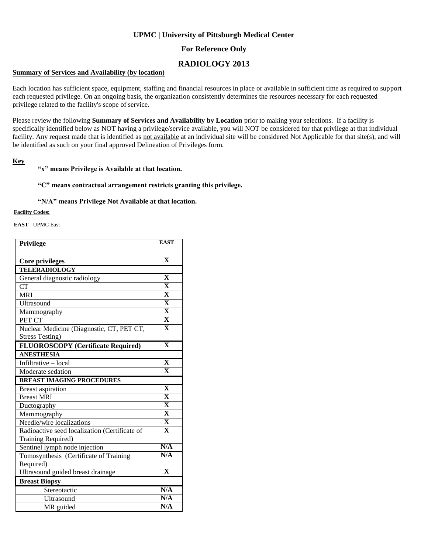# **UPMC | University of Pittsburgh Medical Center**

## **For Reference Only**

# **RADIOLOGY 2013**

### **Summary of Services and Availability (by location)**

Each location has sufficient space, equipment, staffing and financial resources in place or available in sufficient time as required to support each requested privilege. On an ongoing basis, the organization consistently determines the resources necessary for each requested privilege related to the facility's scope of service.

Please review the following **Summary of Services and Availability by Location** prior to making your selections. If a facility is specifically identified below as NOT having a privilege/service available, you will NOT be considered for that privilege at that individual facility. Any request made that is identified as not available at an individual site will be considered Not Applicable for that site(s), and will be identified as such on your final approved Delineation of Privileges form.

### **Key**

### **"x" means Privilege is Available at that location.**

### **"C" means contractual arrangement restricts granting this privilege.**

#### **"N/A" means Privilege Not Available at that location.**

#### **Facility Codes:**

**EAST**= UPMC East

| Privilege                                     | <b>EAST</b>             |
|-----------------------------------------------|-------------------------|
|                                               |                         |
| <b>Core privileges</b>                        | $\overline{\mathbf{X}}$ |
| <b>TELERADIOLOGY</b>                          |                         |
| General diagnostic radiology                  | $\mathbf X$             |
| <b>CT</b>                                     | $\overline{\mathbf{X}}$ |
| <b>MRI</b>                                    | $\overline{\mathbf{X}}$ |
| Ultrasound                                    | $\overline{\mathbf{X}}$ |
| Mammography                                   | $\overline{\mathbf{X}}$ |
| PET CT                                        | $\overline{\mathbf{X}}$ |
| Nuclear Medicine (Diagnostic, CT, PET CT,     | $\mathbf X$             |
| <b>Stress Testing)</b>                        |                         |
| <b>FLUOROSCOPY</b> (Certificate Required)     | $\overline{\mathbf{X}}$ |
| <b>ANESTHESIA</b>                             |                         |
| Infiltrative - local                          | $\overline{\mathbf{X}}$ |
| Moderate sedation                             | $\overline{\mathbf{X}}$ |
| <b>BREAST IMAGING PROCEDURES</b>              |                         |
| <b>Breast aspiration</b>                      | $\overline{\mathbf{X}}$ |
|                                               |                         |
| <b>Breast MRI</b>                             | $\overline{\mathbf{X}}$ |
| Ductography                                   | $\overline{\mathbf{X}}$ |
| Mammography                                   | $\overline{\mathbf{X}}$ |
| Needle/wire localizations                     | $\overline{\mathbf{X}}$ |
| Radioactive seed localization (Certificate of | $\overline{\mathbf{X}}$ |
| Training Required)                            |                         |
| Sentinel lymph node injection                 | N/A                     |
| Tomosynthesis (Certificate of Training        | N/A                     |
| Required)                                     |                         |
| Ultrasound guided breast drainage             | $\overline{\mathbf{X}}$ |
| <b>Breast Biopsy</b>                          |                         |
| Stereotactic                                  | N/A                     |
| Ultrasound                                    | N/A<br>N/A              |